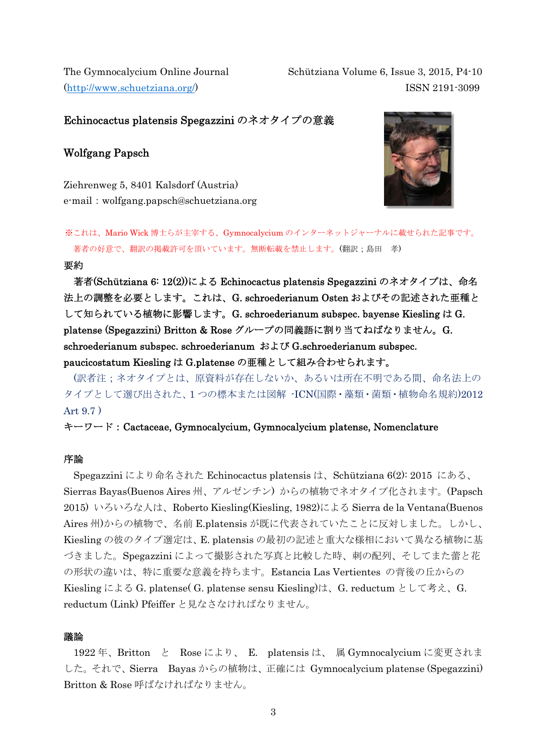The Gymnocalycium Online Journal Schütziana Volume 6, Issue 3, 2015, P4-10 (http://www.schuetziana.org/) ISSN 2191-3099

### Echinocactus platensis Spegazzini のネオタイプの意義

# Wolfgang Papsch

Ziehrenweg 5, 8401 Kalsdorf (Austria) e-mail:wolfgang.papsch@schuetziana.org



※これは、Mario Wick 博士らが主宰する、Gymnocalycium のインターネットジャーナルに載せられた記事です。 著者の好意で、翻訳の掲載許可を頂いています。無断転載を禁止します。(翻訳;島田 孝)

# 要約

著者(Schütziana 6: 12(2))による Echinocactus platensis Spegazzini のネオタイプは、命名 法上の調整を必要とします。これは、G. schroederianum Osten およびその記述された亜種と して知られている植物に影響します。G. schroederianum subspec. bayense Kiesling は G. platense (Spegazzini) Britton & Rose グループの同義語に割り当てねばなりません。G. schroederianum subspec. schroederianum および G.schroederianum subspec. paucicostatum Kiesling は G.platense の亜種として組み合わせられます。

 (訳者注;ネオタイプとは、原資料が存在しないか、あるいは所在不明である間、命名法上の タイプとして選び出された、1 つの標本または図解 -ICN(国際・藻類・菌類・植物命名規約)2012 Art 9.7 )

# キーワード:Cactaceae, Gymnocalycium, Gymnocalycium platense, Nomenclature

## 序論

 Spegazzini により命名された Echinocactus platensis は、Schütziana 6(2): 2015 にある、 Sierras Bayas(Buenos Aires 州、アルゼンチン) からの植物でネオタイプ化されます。(Papsch 2015) いろいろな人は、Roberto Kiesling(Kiesling, 1982)による Sierra de la Ventana(Buenos Aires 州)からの植物で、名前 E.platensis が既に代表されていたことに反対しました。しかし、 Kiesling の彼のタイプ選定は、E. platensis の最初の記述と重大な様相において異なる植物に基 づきました。Spegazzini によって撮影された写真と比較した時、刺の配列、そしてまた蕾と花 の形状の違いは、特に重要な意義を持ちます。Estancia Las Vertientes の背後の丘からの Kiesling による G. platense( G. platense sensu Kiesling)は、G. reductum として考え、G. reductum (Link) Pfeiffer と見なさなければなりません。

#### 議論

1922 年、Britton と Rose により、 E. platensis は、 属 Gymnocalycium に変更されま した。それで、Sierra Bayas からの植物は、正確には Gymnocalycium platense (Spegazzini) Britton & Rose 呼ばなければなりません。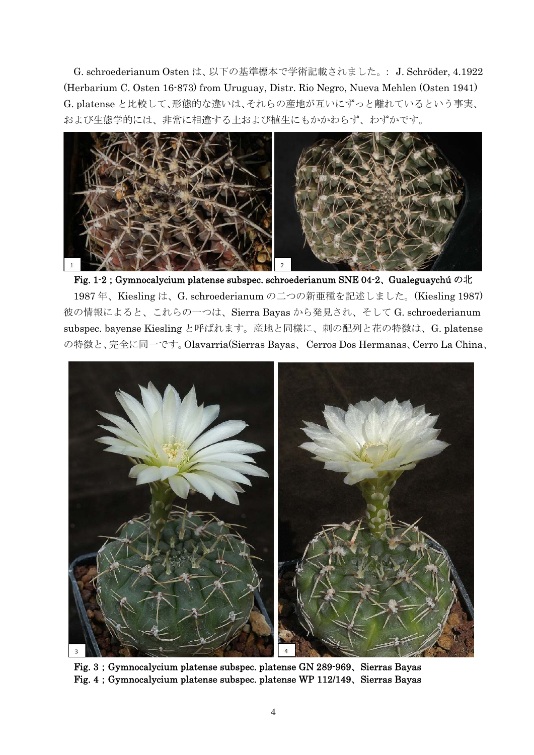G. schroederianum Osten は、以下の基準標本で学術記載されました。: J. Schröder, 4.1922 (Herbarium C. Osten 16-873) from Uruguay, Distr. Rio Negro, Nueva Mehlen (Osten 1941) G. platense と比較して、形態的な違いは、それらの産地が互いにずっと離れているという事実、 および生態学的には、非常に相違する土および植生にもかかわらず、わずかです。



1987 年、Kiesling は、G. schroederianum の二つの新亜種を記述しました。(Kiesling 1987) 彼の情報によると、これらの一つは、Sierra Bayas から発見され、そして G. schroederianum subspec. bayense Kiesling と呼ばれます。産地と同様に、刺の配列と花の特徴は、G. platense の特徴と、完全に同一です。Olavarria(Sierras Bayas、 Cerros Dos Hermanas、Cerro La China、 Fig. 1-2;Gymnocalycium platense subspec. schroederianum SNE 04-2、Gualeguaychú の北



Fig. 3;Gymnocalycium platense subspec. platense GN 289-969、Sierras Bayas Fig. 4;Gymnocalycium platense subspec. platense WP 112/149、Sierras Bayas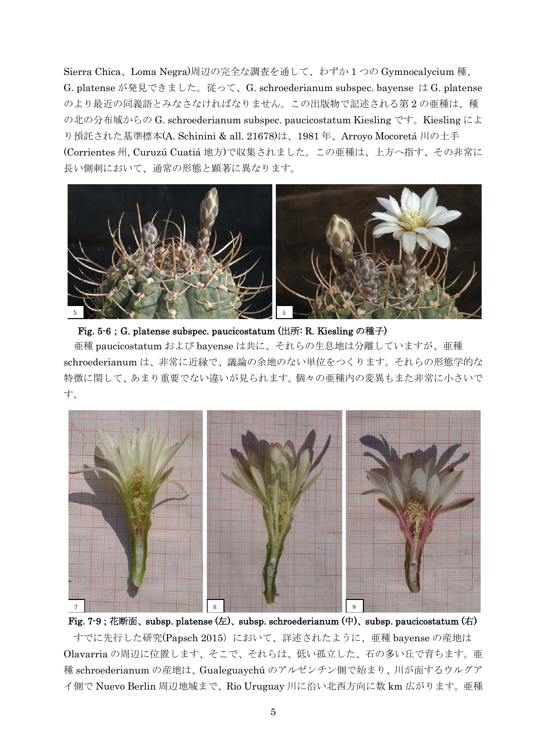Sierra Chica、Loma Negra)周辺の完全な調査を通して、わずか 1 つの Gymnocalycium 種、 G. platense が発見できました。従って、G. schroederianum subspec. bayense は G. platense のより最近の同義語とみなさなければなりません。この出版物で記述される第 2 の亜種は、種 の北の分布域からの G. schroederianum subspec. paucicostatum Kiesling です。Kiesling によ り預託された基準標本(A. Schinini & all. 21678)は、1981 年、Arroyo Mocoretá 川の土手 (Corrientes 州, Curuzú Cuatiá 地方)で収集されました。この亜種は、上方へ指す、その非常に 長い側刺において、通常の形態と顕著に異なります。



 亜種 paucicostatum および bayense は共に、それらの生息地は分離していますが、亜種 schroederianum は、非常に近縁で、議論の余地のない単位をつくります。それらの形態学的な 特徴に関して、あまり重要でない違いが見られます。個々の亜種内の変異もまた非常に小さいで Fig. 5-6; G. platense subspec. paucicostatum (出所: R. Kiesling の種子)





Fig. 7-9;花断面、subsp. platense (左)、subsp. schroederianum (中)、subsp. paucicostatum (右)

すでに先行した研究(Papsch 2015)において、詳述されたように、亜種 bayense の産地は Olavarria の周辺に位置します、そこで、それらは、低い孤立した、石の多い丘で育ちます。亜 種 schroederianum の産地は、Gualeguaychú のアルゼンチン側で始まり、川が面するウルグア イ側で Nuevo Berlin 周辺地域まで、Rio Uruguay 川に沿い北西方向に数 km 広がります。亜種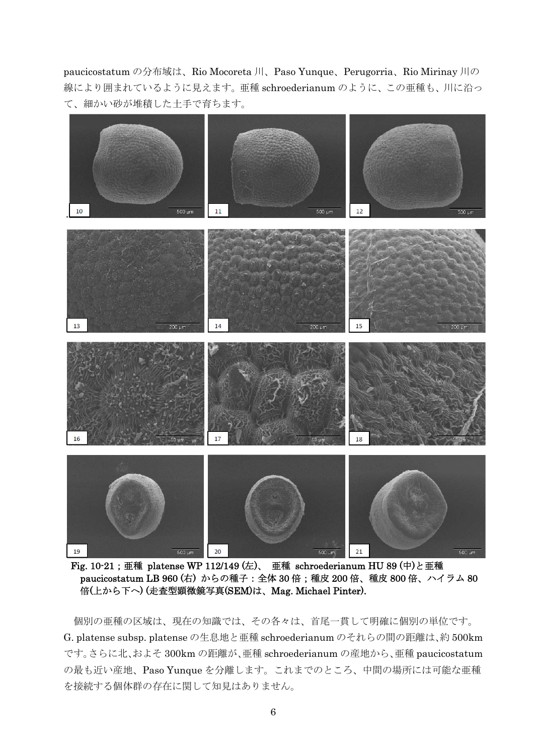paucicostatum の分布域は、Rio Mocoreta 川、Paso Yunque、Perugorria、Rio Mirinay 川の 線により囲まれているように見えます。亜種 schroederianum のように、この亜種も、川に沿っ て、細かい砂が堆積した土手で育ちます。



Fig. 10-21; 亜種 platense WP 112/149 (左)、 亜種 schroederianum HU 89 (中)と亜種 paucicostatum LB 960 (右) からの種子:全体 30倍;種皮 200倍、種皮 800倍、ハイラム 80 倍(上から下へ) (走査型顕微鏡写真(SEM)は、Mag. Michael Pinter).

個別の亜種の区域は、現在の知識では、その各々は、首尾一貫して明確に個別の単位です。 G. platense subsp. platense の生息地と亜種 schroederianum のそれらの間の距離は、約 500km です。さらに北、およそ 300km の距離が、亜種 schroederianum の産地から、亜種 paucicostatum の最も近い産地、Paso Yunque を分離します。これまでのところ、中間の場所には可能な亜種 を接続する個体群の存在に関して知見はありません。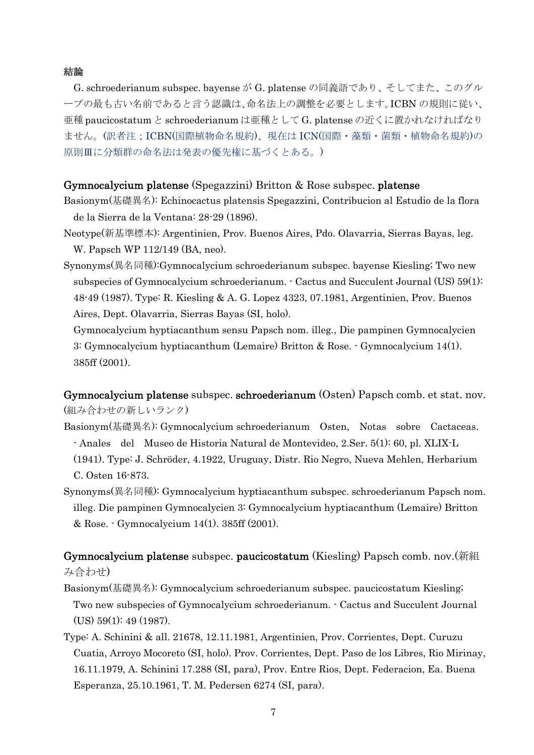### 結論

G. schroederianum subspec. bayense が G. platense の同義語であり、そしてまた、このグル ープの最も古い名前であると言う認識は、命名法上の調整を必要とします。ICBN の規則に従い、 亜種 paucicostatum と schroederianum は亜種として G. platense の近くに置かれなければなり ません。(訳者注;ICBN(国際植物命名規約)、現在は ICN(国際・藻類・菌類・植物命名規約)の 原則Ⅲに分類群の命名法は発表の優先権に基づくとある。)

## Gymnocalycium platense (Spegazzini) Britton & Rose subspec. platense

- Basionym(基礎異名): Echinocactus platensis Spegazzini, Contribucion al Estudio de la flora de la Sierra de la Ventana: 28-29 (1896).
- Neotype(新基準標本): Argentinien, Prov. Buenos Aires, Pdo. Olavarria, Sierras Bayas, leg. W. Papsch WP 112/149 (BA, neo).
- Synonyms(異名同種):Gymnocalycium schroederianum subspec. bayense Kiesling; Two new subspecies of Gymnocalycium schroederianum. - Cactus and Succulent Journal (US) 59(1): 48-49 (1987). Type: R. Kiesling & A. G. Lopez 4323, 07.1981, Argentinien, Prov. Buenos Aires, Dept. Olavarria, Sierras Bayas (SI, holo).

Gymnocalycium hyptiacanthum sensu Papsch nom. illeg., Die pampinen Gymnocalycien 3: Gymnocalycium hyptiacanthum (Lemaire) Britton & Rose. - Gymnocalycium 14(1). 385ff (2001).

Gymnocalycium platense subspec. schroederianum (Osten) Papsch comb. et stat. nov. (組み合わせの新しいランク)

- Basionym(基礎異名): Gymnocalycium schroederianum Osten, Notas sobre Cactaceas. - Anales del Museo de Historia Natural de Montevideo, 2.Ser. 5(1): 60, pl. XLIX-L (1941). Type: J. Schröder, 4.1922, Uruguay, Distr. Rio Negro, Nueva Mehlen, Herbarium C. Osten 16-873.
- Synonyms(異名同種): Gymnocalycium hyptiacanthum subspec. schroederianum Papsch nom. illeg. Die pampinen Gymnocalycien 3: Gymnocalycium hyptiacanthum (Lemaire) Britton & Rose. - Gymnocalycium 14(1). 385ff (2001).

Gymnocalycium platense subspec. paucicostatum (Kiesling) Papsch comb. nov.(新組 み合わせ)

- Basionym(基礎異名): Gymnocalycium schroederianum subspec. paucicostatum Kiesling; Two new subspecies of Gymnocalycium schroederianum. - Cactus and Succulent Journal (US) 59(1): 49 (1987).
- Type: A. Schinini & all. 21678, 12.11.1981, Argentinien, Prov. Corrientes, Dept. Curuzu Cuatia, Arroyo Mocoreto (SI, holo). Prov. Corrientes, Dept. Paso de los Libres, Rio Mirinay, 16.11.1979, A. Schinini 17.288 (SI, para), Prov. Entre Rios, Dept. Federacion, Ea. Buena Esperanza, 25.10.1961, T. M. Pedersen 6274 (SI, para).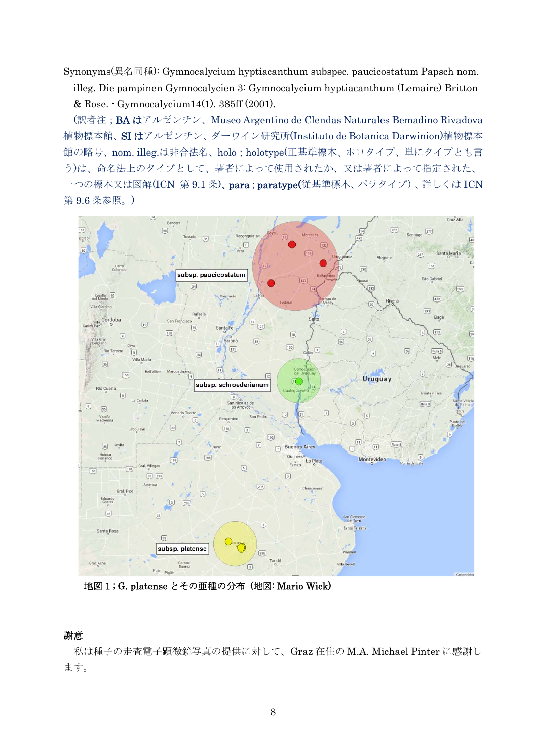Synonyms(異名同種): Gymnocalycium hyptiacanthum subspec. paucicostatum Papsch nom. illeg. Die pampinen Gymnocalycien 3: Gymnocalycium hyptiacanthum (Lemaire) Britton & Rose. - Gymnocalycium14(1). 385ff (2001).

(訳者注;BA はアルゼンチン、Museo Argentino de Clendas Naturales Bemadino Rivadova 植物標本館、SI はアルゼンチン、ダーウイン研究所(Instituto de Botanica Darwinion)植物標本 館の略号、nom. illeg.は非合法名、holo;holotype(正基準標本、ホロタイプ、単にタイプとも言 う)は、命名法上のタイプとして、著者によって使用されたか、又は著者によって指定された、 一つの標本又は図解(ICN 第 9.1 条)、para; paratype(従基準標本、パラタイプ)、詳しくは ICN 第 9.6 条参照。)



地図 1 ; G. platense とその亜種の分布 (地図: Mario Wick)

# 謝意

 私は種子の走査電子顕微鏡写真の提供に対して、Graz 在住の M.A. Michael Pinter に感謝し ます。